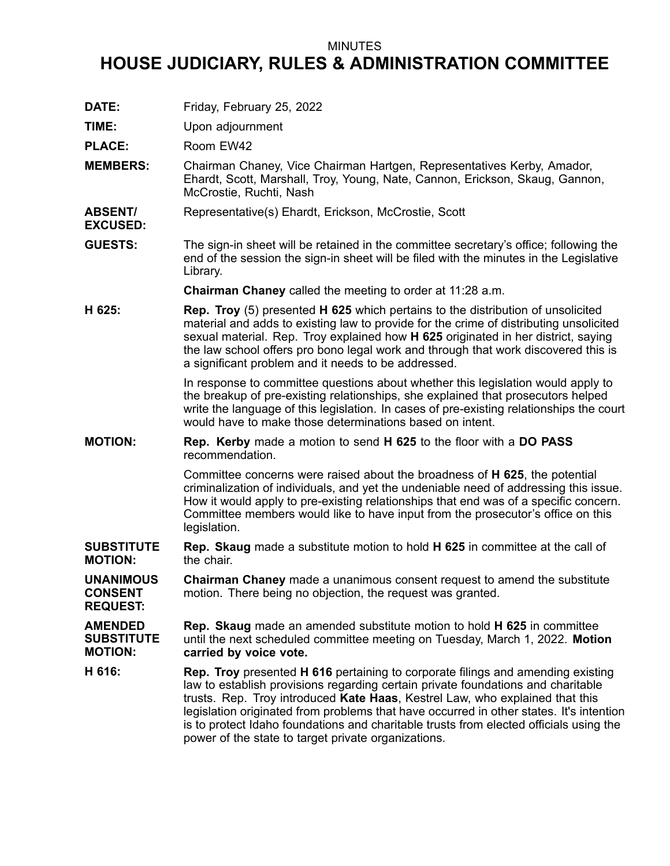## MINUTES

## **HOUSE JUDICIARY, RULES & ADMINISTRATION COMMITTEE**

- **DATE:** Friday, February 25, 2022
- **TIME:** Upon adjournment

PLACE: Room EW42

**EXCUSED:**

**MEMBERS:** Chairman Chaney, Vice Chairman Hartgen, Representatives Kerby, Amador, Ehardt, Scott, Marshall, Troy, Young, Nate, Cannon, Erickson, Skaug, Gannon, McCrostie, Ruchti, Nash

**ABSENT/** Representative(s) Ehardt, Erickson, McCrostie, Scott

**GUESTS:** The sign-in sheet will be retained in the committee secretary's office; following the end of the session the sign-in sheet will be filed with the minutes in the Legislative Library.

**Chairman Chaney** called the meeting to order at 11:28 a.m.

**H 625: Rep. Troy** (5) presented **H 625** which pertains to the distribution of unsolicited material and adds to existing law to provide for the crime of distributing unsolicited sexual material. Rep. Troy explained how **H 625** originated in her district, saying the law school offers pro bono legal work and through that work discovered this is <sup>a</sup> significant problem and it needs to be addressed.

> In response to committee questions about whether this legislation would apply to the breakup of pre-existing relationships, she explained that prosecutors helped write the language of this legislation. In cases of pre-existing relationships the court would have to make those determinations based on intent.

**MOTION: Rep. Kerby** made <sup>a</sup> motion to send **H 625** to the floor with <sup>a</sup> **DO PASS** recommendation.

> Committee concerns were raised about the broadness of **H 625**, the potential criminalization of individuals, and yet the undeniable need of addressing this issue. How it would apply to pre-existing relationships that end was of <sup>a</sup> specific concern. Committee members would like to have input from the prosecutor's office on this legislation.

- **SUBSTITUTE MOTION: Rep. Skaug** made <sup>a</sup> substitute motion to hold **H 625** in committee at the call of the chair.
- **UNANIMOUS CONSENT REQUEST: Chairman Chaney** made <sup>a</sup> unanimous consent request to amend the substitute motion. There being no objection, the request was granted.

**AMENDED SUBSTITUTE MOTION: Rep. Skaug** made an amended substitute motion to hold **H 625** in committee until the next scheduled committee meeting on Tuesday, March 1, 2022. **Motion carried by voice vote.**

**H 616: Rep. Troy** presented **H 616** pertaining to corporate filings and amending existing law to establish provisions regarding certain private foundations and charitable trusts. Rep. Troy introduced **Kate Haas**, Kestrel Law, who explained that this legislation originated from problems that have occurred in other states. It's intention is to protect Idaho foundations and charitable trusts from elected officials using the power of the state to target private organizations.